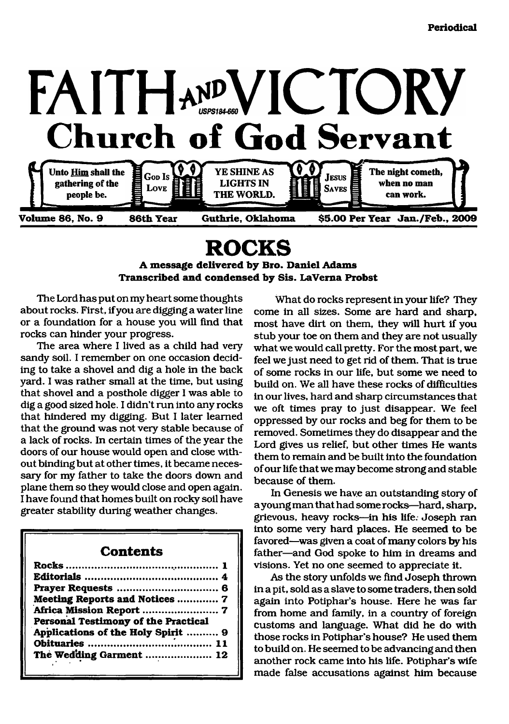

## **ROCKS**

#### <span id="page-0-0"></span>**A message delivered by Bro. Daniel Adams Transcribed and condensed by Sis. LaVerna Probst**

The Lord has put on my heart some thoughts about rocks. First, if you are digging a water line or a foundation for a house you will find that rocks can hinder your progress.

The area where I lived as a child had very sandy soil. I remember on one occasion deciding to take a shovel and dig a hole in the back yard. I was rather small at the time, but using that shovel and a posthole digger I was able to dig a good sized hole. I didn't run into any rocks that hindered my digging. But I later learned that the ground was not very stable because of a lack of rocks. In certain times of the year the doors of our house would open and close without binding but at other times, it became necessary for my father to take the doors down and plane them so they would close and open again. I have found that homes built on rocky soil have greater stability during weather changes.

#### **Contents**

| Meeting Reports and Notices  7      |  |
|-------------------------------------|--|
|                                     |  |
| Personal Testimony of the Practical |  |
| Applications of the Holy Spirit  9  |  |
|                                     |  |
| The Wedding Garment  12             |  |
|                                     |  |

What do rocks represent in your life? They come in all sizes. Some are hard and sharp, most have dirt on them, they will hurt if you stub your toe on them and they are not usually what we would call pretty. For the most part, we feel we just need to get rid of them. That is true of some rocks in our life, but some we need to build on. We all have these rocks of difficulties in our lives, hard and sharp circumstances that we oft times pray to just disappear. We feel oppressed by our rocks and beg for them to be removed. Sometimes they do disappear and the Lord gives us relief, but other times He wants them to remain and be built into the foundation of our life that we may become strong and stable because of them.

In Genesis we have an outstanding story of ayoung man that had some rocks—hard, sharp, grievous, heavy rocks—in his life. Joseph ran into some very hard places. He seemed to be favored—was given a coat of many colors by his father—and God spoke to him in dreams and visions. Yet no one seemed to appreciate it.

As the story unfolds we find Joseph thrown in a pit, sold as a slave to some traders, then sold again into Potiphar's house. Here he was far from home and family, in a country of foreign customs and language. What did he do with those rocks in Potiphar's house? He used them to build on. He seemed to be advancing and then another rock came into his life. Potiphar's wife made false accusations against him because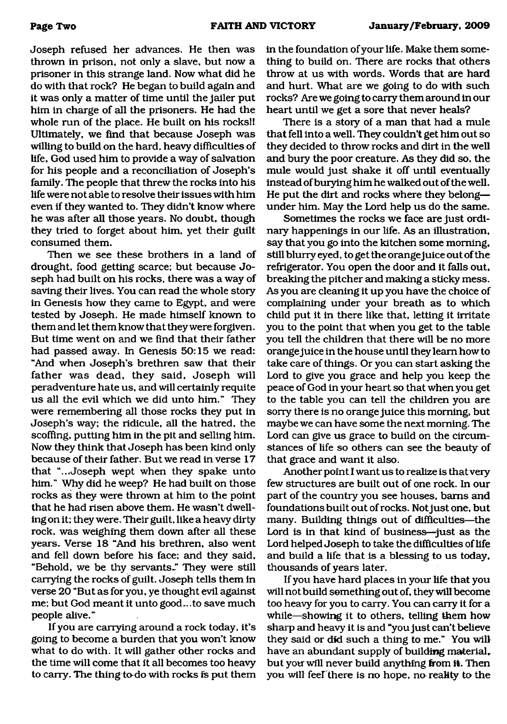Joseph refused her advances. He then was thrown in prison, not only a slave, but now a prisoner in this strange land. Now what did he do with that rock? He began to build again and it was only a matter of time until the jailer put him in charge of all the prisoners. He had the whole run of the place. He built on his rocks!! Ultimately, we find that because Joseph was willing to build on the hard, heavy difficulties of life, God used him to provide a way of salvation for his people and a reconciliation of Joseph's family. The people that threw the rocks into his life were not able to resolve their issues with him even if they wanted to. They didn't know where he was after all those years. No doubt, though they tried to forget about him, yet their guilt consumed them.

Then we see these brothers in a land of drought, food getting scarce; but because Joseph had built on his rocks, there was a way of saving their lives. You can read the whole story in Genesis how they came to Egypt, and were tested by Joseph. He made himself known to them and let them know that they were forgiven. But time went on and we find that their father had passed away. In Genesis 50:15 we read: "And when Joseph's brethren saw that their father was dead, they said, Joseph will peradventure hate us, and will certainly requite us all the evil which we did unto him." They were remembering all those rocks they put in Joseph's way; the ridicule, all the hatred, the scoffing, putting him in the pit and selling him. Now they think that Joseph has been kind only because of their father. But we read in verse 17 that "...Joseph wept when they spake unto him." Why did he weep? He had built on those rocks as they were thrown at him to the point that he had risen above them. He wasn't dwelling on it; they were. Their guilt, like a heavy dirty rock, was weighing them down after all these years. Verse 18 "And his brethren, also went and fell down before his face; and they said, "Behold, we be thy servants." They were still carrying the rocks of guilt. Joseph tells them in verse 20 "But as for you, ye thought evil against me; but God meant it unto good., .to save much people alive."

If you are carrying around a rock today, it's going to become a burden that you won't know what to do with. It will gather other rocks and the time will come that it all becomes too heavy to carry. The thing to-do with rocks is put them in the foundation of your life. Make them something to build on. There are rocks that others throw at us with words. Words that are hard and hurt. What are we going to do with such rocks? Are we going to carry them around in our heart until we get a sore that never heals?

There is a story of a man that had a mule that fell into a well. They couldn't get him out so they decided to throw rocks and dirt in the well and bury the poor creature. As they did so, the mule would just shake it off until eventually instead of burying him he walked out of the well. He put the dirt and rocks where they belong under him. May the Lord help us do the same.

Sometimes the rocks we face are just ordinary happenings in our life. As an illustration, say that you go into the kitchen some morning, still blurry eyed, to get the orange juice out of the refrigerator. You open the door and it falls out, breaking the pitcher and making a sticky mess. As you are cleaning it up you have the choice of complaining under your breath as to which child put it in there like that, letting it irritate you to the point that when you get to the table you tell the children that there will be no more orange juice in the house until they learn how to take care of things. Or you can start asking the Lord to give you grace and help you keep the peace of God in your heart so that when you get to the table you can tell the children you are sorry there is no orange juice this morning, but maybe we can have some the next morning. The Lord can give us grace to build on the circumstances of life so others can see the beauty of that grace and want it also.

Another point I want us to realize is that very few structures are built out of one rock. In our part of the country you see houses, bams and foundations built out of rocks. Not just one, but many. Building things out of difficulties—the Lord is in that kind of business—just as the Lord helped Joseph to take the difficulties of life and build a life that is a blessing to us today, thousands of years later.

If you have hard places in your life that you will not build something out of, they will become too heavy for you to carry. You can carry it for a while—showing it to others, telling them how sharp and heavy it is and "you just can't believe they said or did such a thing to me." You will have an abundant supply of building material. but you will never build anything from it. Then you will feef there is no hope, no reality to the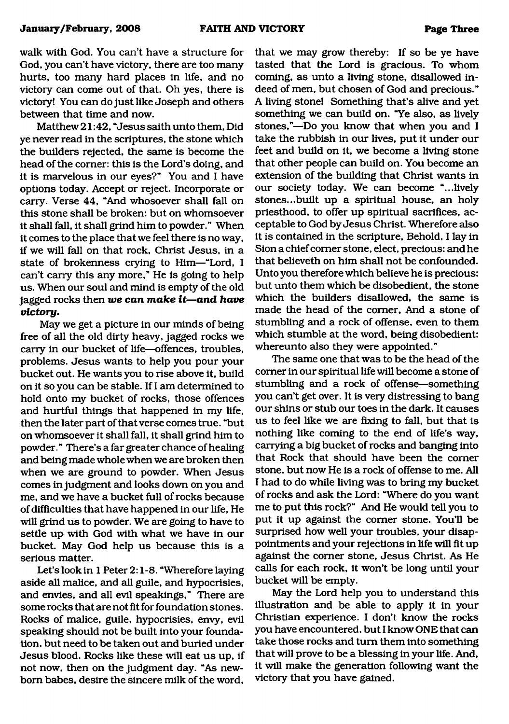walk with God. You can't have a structure for God, you can't have victory, there are too many hurts, too many hard places in life, and no victory can come out of that. Oh yes, there is victory! You can do just like Joseph and others between that time and now.

Matthew 21:42, "Jesus saith unto them, Did ye never read in the scriptures, the stone which the builders rejected, the same is become the head of the comer: this is the Lord's doing, and it is marvelous in our eyes?" You and I have options today. Accept or reject. Incorporate or carry. Verse 44, "And whosoever shall fall on this stone shall be broken: but on whomsoever it shall fall, it shall grind him to powder." When it comes to the place that we feel there is no way, if we will fall on that rock, Christ Jesus, in a state of brokenness crying to Him—"Lord, I can't carry this any more," He is going to help us. When our soul and mind is empty of the old jagged rocks then *we can make it—and have victory*.

May we get a picture in our minds of being free of all the old dirty heavy, jagged rocks we carry in our bucket of life—offences, troubles, problems. Jesus wants to help you pour your bucket out. He wants you to rise above it, build on it so you can be stable. If I am determined to hold onto my bucket of rocks, those offences and hurtful things that happened in my life, then the later part of that verse comes true, "but on whomsoever it shall fall, it shall grind him to powder." There's a far greater chance of healing and being made whole when we are broken then when we are ground to powder. When Jesus comes in judgment and looks down on you and me, and we have a bucket full of rocks because of difficulties that have happened in our life, He will grind us to powder. We are going to have to settle up with God with what we have in our bucket. May God help us because this is a serious matter.

Let's lookin 1 Peter 2:1-8. "Wherefore laying aside all malice, and all guile, and hypocrisies, and envies, and all evil speakings," There are some rocks that are not fit for foundation stones. Rocks of malice, guile, hypocrisies, envy, evil speaking should not be built into your foundation, but need to be taken out and buried under Jesus blood. Rocks like these will eat us up, if not now, then on the judgment day. "As newborn babes, desire the sincere milk of the word,

that we may grow thereby: If so be ye have tasted that the Lord is gracious. To whom coming, as unto a living stone, disallowed indeed of men, but chosen of God and precious." A living stone! Something that's alive and yet something we can build on. "Ye also, as lively stones,"—Do you know that when you and I take the rubbish in our lives, put it under our feet and build on it, we become a living stone that other people can build on. You become an extension of the building that Christ wants in our society today. We can become "...lively stones...built up a spiritual house, an holy priesthood, to offer up spiritual sacrifices, acceptable to God by Jesus Christ. Wherefore also it is contained in the scripture, Behold, I lay in Sion a chief comer stone, elect, precious: and he that believeth on him shall not be confounded. Unto you therefore which believe he is precious: but unto them which be disobedient, the stone which the builders disallowed, the same is made the head of the comer, And a stone of stumbling and a rock of offense, even to them which stumble at the word, being disobedient: whereunto also they were appointed."

The same one that was to be the head of the comer in our spiritual life will become a stone of stumbling and a rock of offense—something you can't get over. It is very distressing to bang our shins or stub our toes in the dark. It causes us to feel like we are fixing to fall, but that is nothing like coming to the end of life's way, carrying a big bucket of rocks and banging into that Rock that should have been the comer stone, but now He is a rock of offense to me. All I had to do while living was to bring my bucket of rocks and ask the Lord: "Where do you want me to put this rock?" And He would tell you to put it up against the comer stone. You'll be surprised how well your troubles, your disappointments and your rejections in life will fit up against the comer stone, Jesus Christ. As He calls for each rock, it won't be long until your bucket will be empty.

May the Lord help you to understand this illustration and be able to apply it in your Christian experience. I don't know the rocks you have encountered, but I know ONE that can take those rocks and turn them into something that will prove to be a blessing in your life. And, it will make the generation following want the victory that you have gained.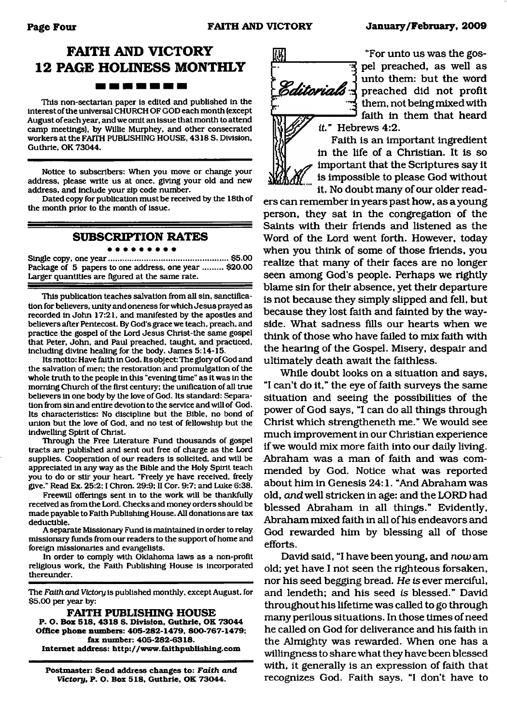## **FAITH AND VICTORY 12 PAGE HOLINESS MONTHLY**

------

This non-sectarian paper is edited and published in the interest of the universal CHURCH OF GOD each month (except August of each year, and we omit an issue that month to attend camp meetings), by Willie Murphey, and other consecrated workers at the FAITH PUBLISHING HOUSE, 4318 S. Division, Guthrie, OK 73044.

Notice to subscribers: When you move or change your address, please write us at once, giving your old and new address, and include your zip code number.

Dated copy for publication must be received by the 18th of the month prior to the month of issue.

#### **SUBSCRIPTION RATES**

Single copy, one year......................................................\$5.00 Package of 5 papers to one address, one year ......... \$20.00 Larger quantities are figured at the same rate.

This publication teaches salvation from all sin, sanctification for believers, unity and oneness for which Jesus prayed as recorded in John 17:21, and manifested by the apostles and believers after Pentecost. By God's grace we teach, preach, and practice the gospel of the Lord Jesus Christ-the same gospel that Peter, John, and Paul preached, taught, and practiced, including divine healing for the body. James 5:14-15.

Its motto: Have faith in God. Its object: The glory of God and the salvation of men: the restoration and promulgation of the whole truth to the people in this "evening time" as it was in the morning Church of the first century: the unification of all true believers in one body by the love of God. Its standard: Separation from sin and entire devotion to the service and will of God. Its characteristics: No discipline but the Bible, no bond of union but the love of God. and no test of fellowship but the indwelling Spirit of Christ.

Through the Free Literature Fund thousands of gospel tracts are published and sent out free of charge as the Lord supplies. Cooperation of our readers is solicited, and will be appreciated in any way as the Bible and the Holy Spirit teach you to do or stir your heart. "Freely ye have received, freely give." Read Ex. 25:2; I Chron. 29:9: II Cor. 9:7; and Luke 6:38.

Freewill offerings sent in to the work will be thankfully received as from the Lord. Checks and money orders should be made payable to Faith Publishing House. All donations are tax deductible.

A separate Missionary Fund is maintained in order to relay missionary funds from our readers to the support of home and foreign missionaries and evangelists.

In order to comply with Oklahoma laws as a non-profit religious work, the Faith Publishing House is incorporated thereunder.

The *Faith and Victory* is published monthly, except August, for \$5.00 per year by:

**FAITH PUBLISH ING HOUSE P. O. Box 518. 4318 S. Division. Guthrie. OK 73044 Office phone numbers: 405-282-1479. 800-767-1479; fax number: 405-282-6318. Internet address: <http://www.fiaithpiiblishing.com>**

**Postmaster: Send address changes to:** *Faith and Victory,* **P. O. Box 518. Guthrie, OK 73044.**



"For unto us was the gospel preached, as well as unto them: but the word preached did not profit them, not being mixed with faith in them that heard

Faith is an important ingredient in the life of a Christian. It is so important that the Scriptures say it is impossible to please God without it. No doubt many of our older read-

ers can remember in years past how, as a young person, they sat in the congregation of the Saints with their friends and listened as the Word of the Lord went forth. However, today when you think of some of those friends, you realize that many of their faces are no longer seen among God's people. Perhaps we rightly blame sin for their absence, yet their departure is not because they simply slipped and fell, but because they lost faith and fainted by the wayside. What sadness fills our hearts when we think of those who have failed to mix faith with the hearing of the Gospel. Misery, despair and ultimately death await the faithless.

While doubt looks on a situation and says, "I can't do it," the eye of faith surveys the same situation and seeing the possibilities of the power of God says, "I can do all things through Christ which strengtheneth me." We would see much improvement in our Christian experience if we would mix more faith into our daily living. Abraham was a man of faith and was commended by God. Notice what was reported about him in Genesis 24:1. "And Abraham was old, *and*well stricken in age: and the LORD had blessed Abraham in all things." Evidently, Abraham mixed faith in all of his endeavors and God rewarded him by blessing all of those efforts.

David said, "I have been young, and *now* am old; yet have I not seen the righteous forsaken, nor his seed begging bread. *He is* ever merciful, and lendeth; and his seed *is* blessed." David throughout his lifetime was called to go through many perilous situations. In those times of need he called on God for deliverance and his faith in the Almighty was rewarded. When one has a willingness to share what they have been blessed with, it generally is an expression of faith that recognizes God. Faith says, "I don't have to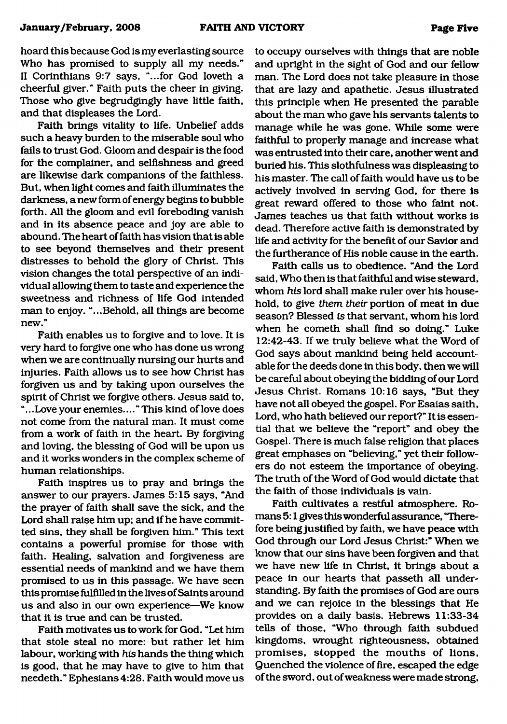hoard this because God is my everlasting source Who has promised to supply all my needs." II Corinthians 9:7 says, "...for God loveth a cheerful giver." Faith puts the cheer in giving. Those who give begrudgingly have little faith, and that displeases the Lord.

Faith brings vitality to life. Unbelief adds such a heavy burden to the miserable soul who fails to trust God. Gloom and despair is the food for the complainer, and selfishness and greed are likewise dark companions of the faithless. But, when light comes and faith illuminates the darkness, a new form of energy begins to bubble forth. All the gloom and evil foreboding vanish and in its absence peace and joy are able to abound. The heart of faith has vision that is able to see beyond themselves and their present distresses to behold the glory of Christ. This vision changes the total perspective of an individual allowing them to taste and experience the sweetness and richness of life God intended man to enjoy. "...Behold, all things are become new."

Faith enables us to forgive and to love. It is very hard to forgive one who has done us wrong when we are continually nursing our hurts and injuries. Faith allows us to see how Christ has forgiven us and by taking upon ourselves the spirit of Christ we forgive others. Jesus said to, ".. .Love your enemies.... " This kind of love does not come from the natural man. It must come from a work of faith in the heart. By forgiving and loving, the blessing of God will be upon us and it works wonders in the complex scheme of human relationships.

Faith inspires us to pray and brings the answer to our prayers. James 5:15 says, "And the prayer of faith shall save the sick, and the Lord shall raise him up; and if he have committed sins, they shall be forgiven him." This text contains a powerful promise for those with faith. Healing, salvation and forgiveness are essential needs of mankind and we have them promised to us in this passage. We have seen this promise fulfilled in the lives of Saints around us and also in our own experience—We know that it is true and can be trusted.

Faith motivates us to work for God. "Let him that stole steal no more: but rather let him labour, working with *his* hands the thing which is good, that he may have to give to him that needeth." Ephesians 4:28. Faith would move us

to occupy ourselves with things that are noble and upright in the sight of God and our fellow man. The Lord does not take pleasure in those that are lazy and apathetic. Jesus illustrated this principle when He presented the parable about the man who gave his servants talents to manage while he was gone. While some were faithful to properly manage and increase what was entrusted into their care, another went and buried his. This slothfulness was displeasing to his master. The call of faith would have us to be actively involved in serving God, for there is great reward offered to those who faint not. James teaches us that faith without works is dead. Therefore active faith is demonstrated by life and activity for the benefit of our Savior and the furtherance of His noble cause in the earth.

Faith calls us to obedience. "And the Lord said, Who then is that faithful and wise steward, whom *his* lord shall make ruler over his household, to give *them their* portion of meat in due season? Blessed *is* that servant, whom his lord when he cometh shall find so doing." Luke 12:42-43. If we truly believe what the Word of God says about mankind being held accountable for the deeds done in this body, then we will be careful about obeying the bidding of our Lord Jesus Christ. Romans 10:16 says, "But they have not all obeyed the gospel. For Esaias saith, Lord, who hath believed our report?" It is essential that we believe the "report" and obey the Gospel. There is much false religion that places great emphases on "believing," yet their followers do not esteem the importance of obeying. The truth of the Word of God would dictate that the faith of those individuals is vain.

Faith cultivates a restful atmosphere. Romans 5:1 gives this wonderful assurance, "Therefore being justified by faith, we have peace with God through our Lord Jesus Christ:" When we know that our sins have been forgiven and that we have new life in Christ, it brings about a peace in our hearts that passeth all understanding. By faith the promises of God are ours and we can rejoice in the blessings that He provides on a daily basis. Hebrews 11:33-34 tells of those, "Who through faith subdued kingdoms, wrought righteousness, obtained promises, stopped the mouths of lions. Quenched the violence of fire, escaped the edge of the sword, out of weakness were made strong.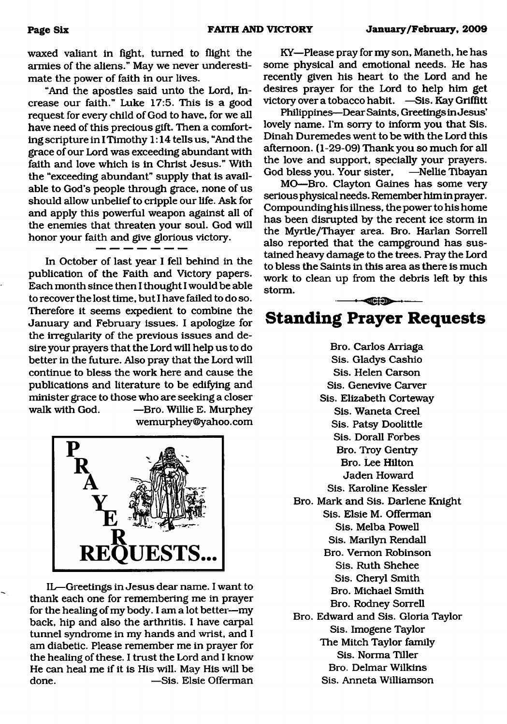waxed valiant in fight, turned to flight the armies of the aliens." May we never underestimate the power of faith in our lives.

"And the apostles said unto the Lord, Increase our faith." Luke 17:5. This is a good request for every child of God to have, for we all have need of this precious gift. Then a comforting scripture in I Timothy 1:14 tells us, "And the grace of our Lord was exceeding abundant with faith and love which is in Christ Jesus." With the "exceeding abundant" supply that is available to God's people through grace, none of us should allow unbelief to cripple our life. Ask for and apply this powerful weapon against all of the enemies that threaten your soul. God will honor your faith and give glorious victory.

In October of last year I fell behind in the publication of the Faith and Victory papers. Each month since then I thought I would be able to recover the lost time, but I have failed to do so. Therefore it seems expedient to combine the January and February issues. I apologize for the irregularity of the previous issues and desire your prayers that the Lord will help us to do better in the future. Also pray that the Lord will continue to bless the work here and cause the publications and literature to be edifying and minister grace to those who are seeking a closer walk with God. — Bro. Willie E. Murphey [wemurphey@yahoo.com](mailto:wemurphey@yahoo.com)



IL—Greetings in Jesus dear name. I want to thank each one for remembering me in prayer for the healing of my body. I am a lot better—my back, hip and also the arthritis. I have carpal tunnel syndrome in my hands and wrist, and I am diabetic. Please remember me in prayer for the healing of these. I trust the Lord and I know He can heal me if it is His will. May His will be done. — — — — Sis. Elsie Offerman

KY—Please pray for my son, Maneth, he has some physical and emotional needs. He has recently given his heart to the Lord and he desires prayer for the Lord to help him get victory over a tobacco habit. —Sis. Kay Griffitt

Philippines—Dear Saints, Greetings in Jesus' lovely name. I'm sorry to inform you that Sis. Dinah Duremedes went to be with the Lord this afternoon. (1-29-09) Thank you so much for all the love and support, specially your prayers. God bless you. Your sister, —Nellie Tibayan

MO-Bro. Clayton Gaines has some very serious physical needs. Remember him in prayer. Compounding his illness, the power to his home has been disrupted by the recent ice storm in the Myrtle/Thayer area. Bro. Harlan Sorrell also reported that the campground has sustained heavy damage to the trees. Pray the Lord to bless the Saints in this area as there is much work to clean up from the debris left by this storm.

## **Standing Prayer Requests**

 $-$ 

Bro. Carlos Arriaga Sis. Gladys Cashio Sis. Helen Carson Sis. Genevive Carver Sis. Elizabeth Corteway Sis. Waneta Creel Sis. Patsy Doolittle Sis. Dorall Forbes Bro. Troy Gentry Bro. Lee Hilton Jaden Howard Sis. Karoline Kessler Bro. Mark and Sis. Darlene Knight Sis. Elsie M. Offerman Sis. Melba Powell Sis. Marilyn Rendall Bro. Vernon Robinson Sis. Ruth Shehee Sis. Cheryl Smith Bro. Michael Smith Bro. Rodney Sorrell Bro. Edward and Sis. Gloria Taylor Sis. Imogene Taylor The Mitch Taylor family Sis. Norma Tiller Bro. Delmar Wilkins Sis. Anneta Williamson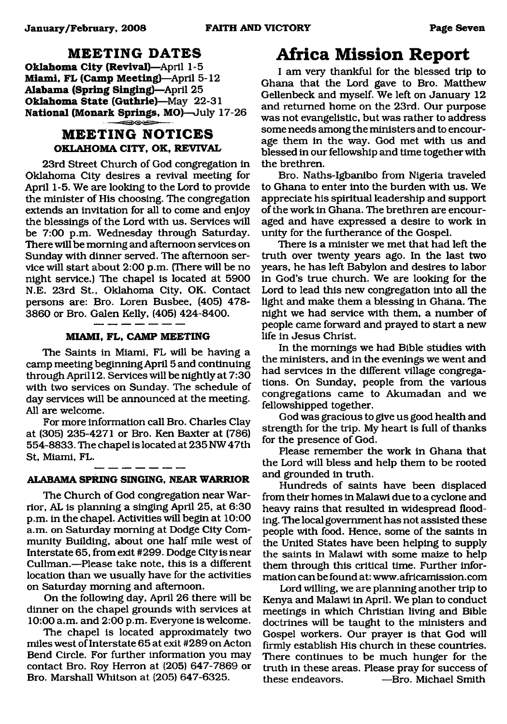#### **M EETING DATES**

**Oklahoma City (Revival)**—April 1-5 **Miami, FL (Camp Meeting)**—April 5-12 **Alabama (Spring Singing)**—April 25 **Oklahoma State (Guthrie)**—May 22-31 **National (Monark Springs, MO)**—July 17-26

### **M EETING NOTICES OKLAHOMA CITY, OK, REVIVAL**

23rd Street Church of God congregation in Oklahoma City desires a revival meeting for April 1-5. We are looking to the Lord to provide the minister of His choosing. The congregation extends an invitation for all to come and enjoy the blessings of the Lord with us. Services will be 7:00 p.m. Wednesday through Saturday. There will be morning and afternoon services on Sunday with dinner served. The afternoon service will start about 2:00 p.m. (There will be no night service.) The chapel is located dt 5900 N.E. 23rd St., Oklahoma City, OK. Contact persons are: Bro. Loren Busbee, (405) 478- 3860 or Bro. Galen Kelly, (405) 424-8400.

#### **MIAMI, FL, CAMP MEETING**

The Saints in Miami, FL will be having a camp meeting beginning April 5 and continuing through April 12. Services will be nightly at 7:30 with two services on Sunday. The schedule of day services will be announced at the meeting. All are welcome.

For more information call Bro. Charles Clay at (305) 235-4271 or Bro. Ken Baxter at (786) 554-8833. The chapel is located at 235 NW47th St, Miami, FL.

#### **ALABAMA SPRING SINGING, NEAR WARRIOR**

The Church of God congregation near Warrior, AL is planning a singing April 25, at 6:30 p.m. in the chapel. Activities will begin at 10:00 a.m. on Saturday morning at Dodge City Community Building, about one half mile west of Interstate 65, from exit #299. Dodge City is near Cullman.—Please take note, this is a different location than we usually have for the activities on Saturday morning and afternoon.

On the following day, April 26 there will be dinner on the chapel grounds with services at 10:00 a.m. and 2:00 p.m. Everyone is welcome.

The chapel is located approximately two miles west of Interstate 65 at exit #289 on Acton Bend Circle. For further information you may contact Bro. Roy Herron at (205) 647-7869 or Bro. Marshall Whitson at (205) 647-6325.

### <span id="page-6-0"></span>**Africa Mission Report**

I am very thankful for the blessed trip to Ghana that the Lord gave to Bro. Matthew Gellenbeck and myself. We left on January 12 and returned home on the 23rd. Our purpose was not evangelistic, but was rather to address some needs among the ministers and to encourage them in the way. God met with us and blessed in our fellowship and time together with the brethren.

Bro. Naths-Igbanibo from Nigeria traveled to Ghana to enter into the burden with us. We appreciate his spiritual leadership and support of the work in Ghana. The brethren are encouraged and have expressed a desire to work in unity for the furtherance of the Gospel.

There is a minister we met that had left the truth over twenty years ago. In the last two years, he has left Babylon and desires to labor in God's true church. We are looking for the Lord to lead this new congregation into all the light and make them a blessing in Ghana. The night we had service with them, a number of people came forward and prayed to start a new life in Jesus Christ.

In the mornings we had Bible studies with the ministers, and in the evenings we went and had services in the different village congregations. On Sunday, people from the various congregations came to Akumadan and we fellowshipped together.

God was gracious to give us good health and strength for the trip. My heart is full of thanks for the presence of God.

Please remember the work in Ghana that the Lord will bless and help them to be rooted and grounded in truth.

Hundreds of saints have been displaced from their homes in Malawi due to a cyclone and heavy rains that resulted in widespread flooding. The local government has not assisted these people with food. Hence, some of the saints in the United States have been helping to supply the saints in Malawi with some maize to help them through this critical time. Further information can be found at: [www.africamission.com](http://www.africamission.com)

Lord willing, we are planning another trip to Kenya and Malawi in April. We plan to conduct meetings in which Christian living and Bible doctrines will be taught to the ministers and Gospel workers. Our prayer is that God will firmly establish His church in these countries. There continues to be much hunger for the truth in these areas. Please pray for success of<br>these endeavors. ——Bro. Michael Smith  $-Rro.$  Michael Smith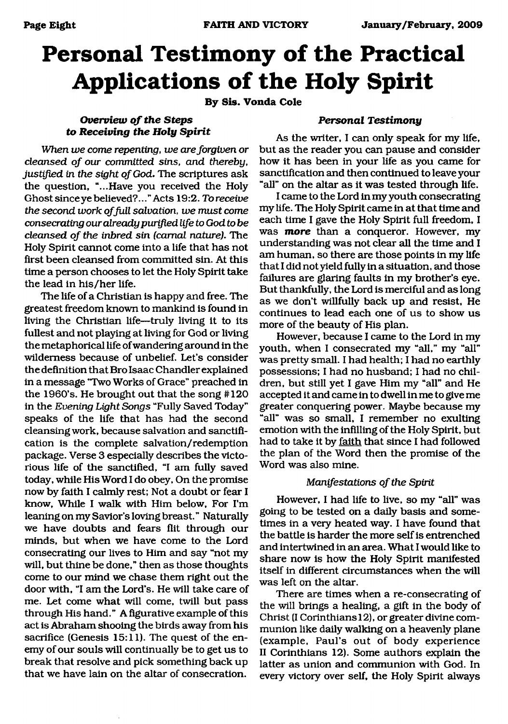# **Personal Testimony of the Practical Applications of the Holy Spirit**

**By Sis. Vonda Cole**

#### **Overview of the Steps** *to Receiving the Holy Spirit*

*When we come repenting, we are forgiven or cleansed of our committed sins, and thereby,* justified in the sight of God. The scriptures ask the question, "...Have you received the Holy Ghost since ye believed?... "Acts 19:2. *To receive the second work of full salvation, we must come consecrating our already purified life to God to be cleansed of the inbred sin (carnal nature). The* Holy Spirit cannot come into a life that has not first been cleansed from committed sin. At this time a person chooses to let the Holy Spirit take the lead in his/her life.

The life of a Christian is happy and free. The greatest freedom known to mankind is found in living the Christian life—truly living it to its fullest and not playing at living for God or living the metaphorical life of wandering around in the wilderness because of unbelief. Let's consider the definition that Bro Isaac Chandler explained in a message "Two Works of Grace" preached in the 1960's. He brought out that the song #120 in the *Evening Light Songs* "Fully Saved Today" speaks of the life that has had the second cleansing work, because salvation and sanctification is the complete salvation/redemption package. Verse 3 especially describes the victorious life of the sanctified, "I am fully saved today, while His Word I do obey, On the promise now by faith I calmly rest; Not a doubt or fear I know, While I walk with Him below. For I'm leaning on my Savior's loving breast." Naturally we have doubts and fears flit through our minds, but when we have come to the Lord consecrating our lives to Him and say "not my will, but thine be done," then as those thoughts come to our mind we chase them right out the door with, "I am the Lord's. He will take care of me. Let come what will come, twill but pass through His hand." A figurative example of this act is Abraham shooing the birds away from his sacrifice (Genesis 15:11). The quest of the enemy of our souls will continually be to get us to break that resolve and pick something back up that we have lain on the altar of consecration.

#### *Personal Testimony*

As the writer, I can only speak for my life, but as the reader you can pause and consider how it has been in your life as you came for sanctification and then continued to leave your "all" on the altar as it was tested through life.

I came to the Lord in my youth consecrating my life. The Holy Spirit came in at that time and each time I gave the Holy Spirit full freedom, I was **more** than a conqueror. However, my understanding was not clear all the time and I am human, so there are those points in my life that I did not yield fully in a situation, and those failures are glaring faults in my brother's eye. But thankfully, the Lord is merciful and as long as we don't willfully back up and resist, He continues to lead each one of us to show us more of the beauty of His plan.

However, because I came to the Lord in my youth, when I consecrated my "all," my "all" was pretty small. I had health; I had no earthly possessions; I had no husband; I had no children, but still yet I gave Him my "all" and He accepted it and came in to dwell in me to give me greater conquering power. Maybe because my "all" was so small, I remember no exulting emotion with the infilling of the Holy Spirit, but had to take it by faith that since I had followed the plan of the Word then the promise of the Word was also mine.

#### *Manifestations of the Spirit*

However, I had life to live, so my "all" was going to be tested on a daily basis and sometimes in a very heated way. I have found that the battle is harder the more self is entrenched and intertwined in an area. What I would like to share now is how the Holy Spirit manifested itself in different circumstances when the will was left on the altar.

There are times when a re-consecrating of the will brings a healing, a gift in the body of Christ (I Corinthians 12), or greater divine communion like daily walking on a heavenly plane (example, Paul's out of body experience II Corinthians 12). Some authors explain the latter as union and communion with God. In every victory over self, the Holy Spirit always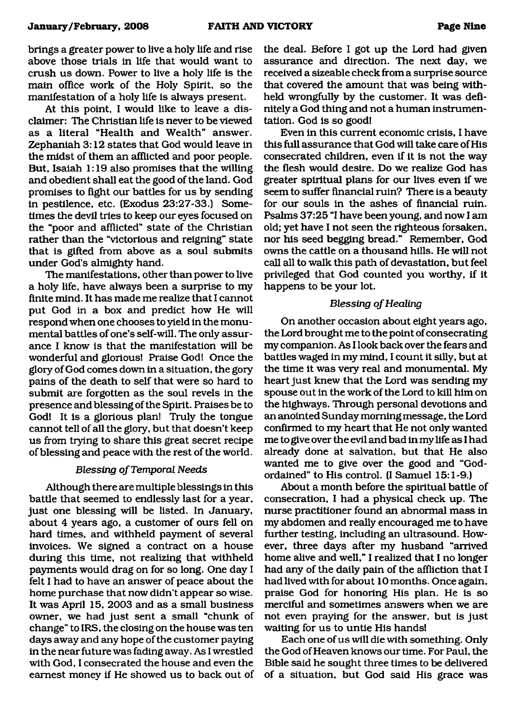brings a greater power to live a holy life and rise above those trials in life that would want to crush us down. Power to live a holy life is the main office work of the Holy Spirit, so the manifestation of a holy life is always present.

At this point, I would like to leave a disclaimer: The Christian life is never to be viewed as a literal "Health and Wealth" answer. Zephaniah 3:12 states that God would leave in the midst of them an afflicted and poor people. But, Isaiah 1:19 also promises that the willing and obedient shall eat the good of the land. God promises to fight our battles for us by sending in pestilence, etc. (Exodus 23:27-33.) Sometimes the devil tries to keep our eyes focused on the "poor and afflicted" state of the Christian rather than the "victorious and reigning" state that is gifted from above as a soul submits under God's almighty hand.

The manifestations, other than power to live a holy life, have always been a surprise to my finite mind. It has made me realize that I cannot put God in a box and predict how He will respond when one chooses to yield in the monumental battles of one's self-will. The only assurance I know is that the manifestation will be wonderful and glorious! Praise God! Once the glory of God comes down in a situation, the gory pains of the death to self that were so hard to submit are forgotten as the soul revels in the presence and blessing of the Spirit. Praises be to God! It is a glorious plan! Truly the tongue cannot tell of all the glory, but that doesn't keep us from trying to share this great secret recipe of blessing and peace with the rest of the world.

#### **Blessing of Temporal Needs**

Although there are multiple blessings in this battle that seemed to endlessly last for a year, just one blessing will be listed. In January, about 4 years ago, a customer of ours fell on hard times, and withheld payment of several invoices. We signed a contract on a house during this time, not realizing that withheld payments would drag on for so long. One day I felt I had to have an answer of peace about the home purchase that now didn't appear so wise. It was April 15, 2003 and as a small business owner, we had just sent a small "chunk of change" to IRS, the closing on the house was ten days away and any hope of the customer paying in the near future was fading away. As I wrestled with God, I consecrated the house and even the earnest money if He showed us to back out of the deal. Before I got up the Lord had given assurance and direction. The next day, we received a sizeable check from a surprise source that covered the amount that was being withheld wrongfully by the customer. It was definitely a God thing and not a human instrumentation. God is so good!

Even in this current economic crisis, I have this full assurance that God will take care of His consecrated children, even if it is not the way the flesh would desire. Do we realize God has greater spiritual plans for our lives even if we seem to suffer financial ruin? There is a beauty for our souls in the ashes of financial ruin. Psalms 37:25 "I have been young, and now I am old; yet have I not seen the righteous forsaken, nor his seed begging bread." Remember, God owns the cattle on a thousand hills. He will not call all to walk this path of devastation, but feel privileged that God counted you worthy, if it happens to be your lot.

#### **Blessing of Healing**

On another occasion about eight years ago, the Lord brought me to the point of consecrating my companion. As I look back over the fears and battles waged in my mind, I count it silly, but at the time it was very real and monumental. My heart just knew that the Lord was sending my spouse out in the work of the Lord to kill him on the highways. Through personal devotions and an anointed Sunday morning message, the Lord confirmed to my heart that He not only wanted me to give over the evil and bad in my life as I had already done at salvation, but that He also wanted me to give over the good and "Godordained" to His control. (I Samuel 15:1-9.)

About a month before the spiritual battle of consecration, I had a physical check up. The nurse practitioner found an abnormal mass in my abdomen and really encouraged me to have further testing, including an ultrasound. However, three days after my husband "arrived home alive and well," I realized that I no longer had any of the daily pain of the affliction that I had lived with for about 10 months. Once again, praise God for honoring His plan. He is so merciful and sometimes answers when we are not even praying for the answer, but is just waiting for us to untie His hands!

Each one of us will die with something. Only the God of Heaven knows our time. For Paul, the Bible said he sought three times to be delivered of a situation, but God said His grace was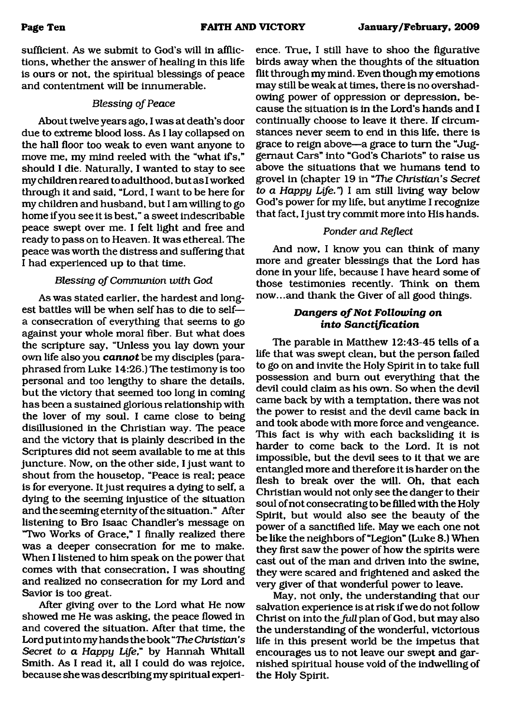sufficient. As we submit to God's will in afflictions, whether the answer of healing in this life is ours or not, the spiritual blessings of peace and contentment will be innumerable.

#### **Blessing of Peace**

About twelve years ago, I was at death's door due to extreme blood loss. As I lay collapsed on the hall floor too weak to even want anyone to move me, my mind reeled with the "what if s," should I die. Naturally, I wanted to stay to see my children reared to adulthood, but as I worked through it and said, "Lord, I want to be here for my children and husband, but I am willing to go home if you see it is best," a sweet indescribable peace swept over me. I felt light and free and ready to pass on to Heaven. It was ethereal. The peace was worth the distress and suffering that I had experienced up to that time.

#### **Blessing of Communion with God**

As was stated earlier, the hardest and longest battles will be when self has to die to self a consecration of everything that seems to go against your whole moral fiber. But what does the scripture say, "Unless you lay down your own life also you *cannot* be my disciples (paraphrased from Luke 14:26.) The testimony is too personal and too lengthy to share the details, but the victory that seemed too long in coming has been a sustained glorious relationship with the lover of my soul. I came close to being disillusioned in the Christian way. The peace and the victory that is plainly described in the Scriptures did not seem available to me at this juncture. Now, on the other side, I just want to shout from the housetop, "Peace is real; peace is for everyone. It just requires a dying to self, a dying to the seeming injustice of the situation and the seeming eternity of the situation." After listening to Bro Isaac Chandler's message on "Two Works of Grace," I finally realized there was a deeper consecration for me to make. When I listened to him speak on the power that comes with that consecration, I was shouting and realized no consecration for my Lord and Savior is too great.

After giving over to the Lord what He now showed me He was asking, the peace flowed in and covered the situation. After that time, the Lord put into my hands the book "The *Christian's Secret to a Happy Life,"* by Hannah Whitall Smith. As I read it, all I could do was rejoice, because she was describing my spiritual experi-

ence. True, I still have to shoo the figurative birds away when the thoughts of the situation flit through my mind. Even though my emotions may still be weak at times, there is no overshadowing power of oppression or depression, because the situation is in the Lord's hands and I continually choose to leave it there. If circumstances never seem to end in this life, there is grace to reign above—a grace to turn the "Juggernaut Cars" into "God's Chariots" to raise us above the situations that we humans tend to grovel in (chapter 19 in "The *Christian's Secret to a Happy Life.")* I am still living way below God's power for my life, but anytime I recognize that fact, I just try commit more into His hands.

#### *Ponder and Reflect*

And now, I know you can think of many more and greater blessings that the Lord has done in your life, because I have heard some of those testimonies recently. Think on them now...and thank the Giver of all good things.

#### *Dangers of Not Following on into Sanctification*

The parable in Matthew 12:43-45 tells of a life that was swept clean, but the person failed to go on and invite the Holy Spirit in to take full possession and bum out everything that the devil could claim as his own. So when the devil came back by with a temptation, there was not the power to resist and the devil came back in and took abode with more force and vengeance. This fact is why with each backsliding it is harder to come back to the Lord. It is not impossible, but the devil sees to it that we are entangled more and therefore it is harder on the flesh to break over the will. Oh, that each Christian would not only see the danger to their soul of not consecrating to be filled with the Holy Spirit, but would also see the beauty of the power of a sanctified life. May we each one not be like the neighbors of "Legion" (Luke 8.) When they first saw the power of how the spirits were cast out of the man and driven into the swine, they were scared and frightened and asked the very giver of that wonderful power to leave.

May, not only, the understanding that our salvation experience is at risk if we do not follow Christ on into the *fuU* plan of God, but may also the understanding of the wonderful, victorious life in this present world be the impetus that encourages us to not leave our swept and garnished spiritual house void of the indwelling of the Holy Spirit.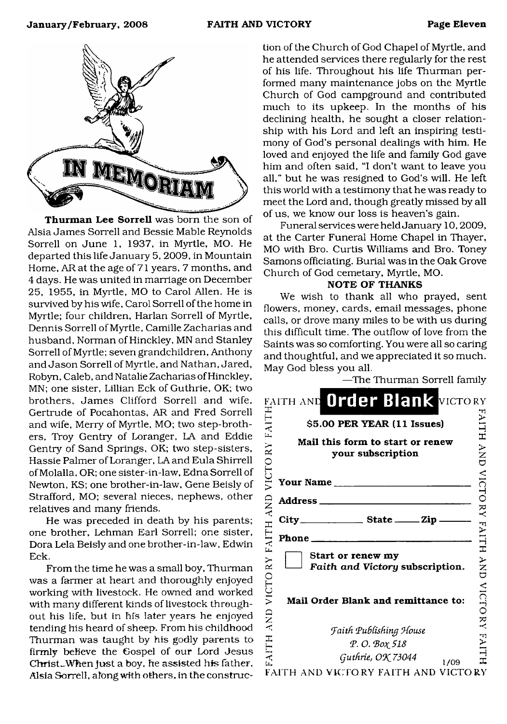

Thurman Lee Sorrell was born the son of Alsia James Sorrell and Bessie Mable Reynolds Sorrell on June 1, 1937, in Myrtle, MO, He departed this life January 5, 2009, in Mountain Home, AR at the age of 71 years, 7 months, and 4 days. He was united in marriage on December 25, 1955, in Myrtle, MO to Carol Allen. He is survived by his wife, Carol Sorrell of the home in Myrtle; four children, Harlan Sorrell of Myrtle, Dennis Sorrell of Myrtle, Camille Zacharias and husband, Norman of Hinckley, MN and Stanley Sorrell of Myrtle; seven grandchildren, Anthony and Jason Sorrell of Myrtle, and Nathan, Jared, Robyn, Caleb, and Natalie Zacharias of Hinckley, MN; one sister, Lillian Eck of Guthrie, OK; two brothers, James Clifford Sorrell and wife, Gertrude of Pocahontas, AR and Fred Sorrell and wife, Merry of Myrtle, MO; two step-brothers, Troy Gentry of Loranger, LA and Eddie Gentry of Sand Springs, OK; two step-sisters, Hassie Palmer of Loranger, LA and Eula Shirrell ofMolalla, OR; one sister-in-law, Edna Sorrell of Newton, KS; one brother-in-law. Gene Beisly of Strafford, MO; several nieces, nephews, other relatives and many friends.

He was preceded in death by his parents; one brother, Lehman Earl Sorrell; one sister, Dora Lela Beisly and one brother-in-law, Edwin Eck.

From the time he was a small boy, Thurman was a farmer at heart and thoroughly enjoyed working with livestock. He owned and worked with many different kinds of livestock throughout his life, but in his later years he enjoyed tending his heard of sheep. From his childhood Thurman was taught by his godly parents to firmly believe the Gospel of our Lord Jesus Christ<sub>-When just a boy, he assisted his father,</sub> Alsia Sorrell, along with others, in the construc-

tion of the Church of God Chapel of Myrtle, and he attended services there regularly for the rest of his life. Throughout his life Thurman performed many maintenance jobs on the Myrtle Church of God campground and contributed much to its upkeep. In the months of his declining health, he sought a closer relationship with his Lord and left an inspiring testimony of God's personal dealings with him. He loved and enjoyed the life and family God gave him and often said, "I don't want to leave you all," but he was resigned to God's will. He left this world with a testimony that he was ready to meet the Lord and, though greatly missed by all of us, we know our loss is heaven's gain.

Funeral services were held January 10,2009, at the Carter Funeral Home Chapel in Thayer, MO with Bro. Curtis Williams and Bro. Toney Samons officiating. Burial was in the Oak Grove Church of God cemetary, Myrtle, MO.

#### NOTE OF THANKS

We wish to thank all who prayed, sent flowers, money, cards, email messages, phone calls, or drove many miles to be with us during this difficult time. The outflow of love from the Saints was so comforting. You were all so caring and thoughtful, and we appreciated it so much. May God bless you all.

—The Thurman Sorrell family

| EAITH AND Order Blank VICTORY<br>\$5.00 PER YEAR (11 Issues) |
|--------------------------------------------------------------|
| Mail this form to start or renew<br>your subscription        |
| <b>Your Name _</b>                                           |
| Address_                                                     |
|                                                              |
| Phone.                                                       |
| Start or renew my<br>Faith and Victory subscription.         |
| Mail Order Blank and remittance to:                          |
| Faith Publishing House                                       |
| P.O. Βοχ 518                                                 |